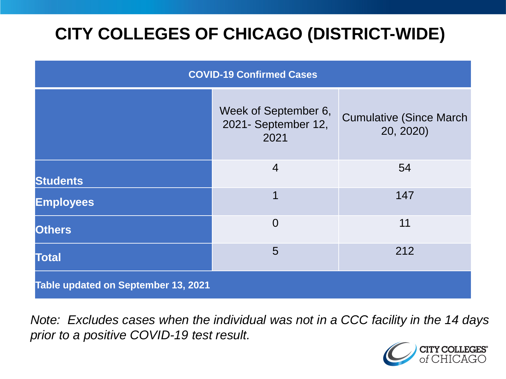# **CITY COLLEGES OF CHICAGO (DISTRICT-WIDE)**

| <b>COVID-19 Confirmed Cases</b>     |                                                     |                                              |
|-------------------------------------|-----------------------------------------------------|----------------------------------------------|
|                                     | Week of September 6,<br>2021- September 12,<br>2021 | <b>Cumulative (Since March)</b><br>20, 2020) |
| <b>Students</b>                     | $\overline{4}$                                      | 54                                           |
| <b>Employees</b>                    | 1                                                   | 147                                          |
| <b>Others</b>                       | $\overline{0}$                                      | 11                                           |
| <b>Total</b>                        | 5                                                   | 212                                          |
| Table updated on September 13, 2021 |                                                     |                                              |

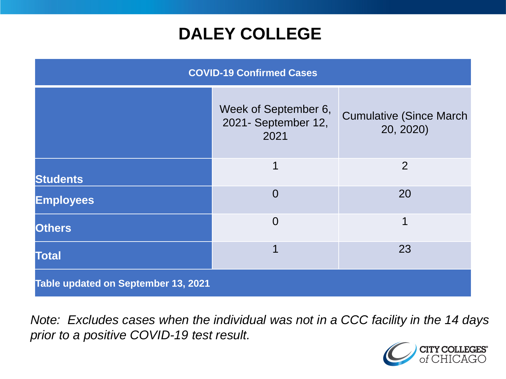## **DALEY COLLEGE**

| <b>COVID-19 Confirmed Cases</b>     |                                                     |                                              |
|-------------------------------------|-----------------------------------------------------|----------------------------------------------|
|                                     | Week of September 6,<br>2021- September 12,<br>2021 | <b>Cumulative (Since March)</b><br>20, 2020) |
| <b>Students</b>                     | 1                                                   | 2                                            |
| <b>Employees</b>                    | $\overline{0}$                                      | 20                                           |
| <b>Others</b>                       | $\overline{0}$                                      | 1                                            |
| <b>Total</b>                        | 1                                                   | 23                                           |
| Table updated on September 13, 2021 |                                                     |                                              |

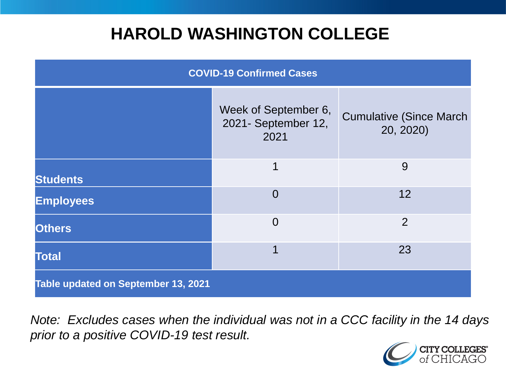## **HAROLD WASHINGTON COLLEGE**

| <b>COVID-19 Confirmed Cases</b>     |                                                     |                                              |
|-------------------------------------|-----------------------------------------------------|----------------------------------------------|
|                                     | Week of September 6,<br>2021- September 12,<br>2021 | <b>Cumulative (Since March)</b><br>20, 2020) |
| <b>Students</b>                     | 1                                                   | 9                                            |
| <b>Employees</b>                    | $\Omega$                                            | 12                                           |
| <b>Others</b>                       | $\overline{0}$                                      | $\overline{2}$                               |
| <b>Total</b>                        | 1                                                   | 23                                           |
| Table updated on September 13, 2021 |                                                     |                                              |

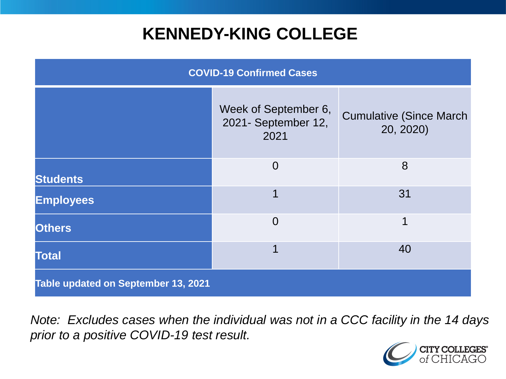## **KENNEDY-KING COLLEGE**

| <b>COVID-19 Confirmed Cases</b>     |                                                     |                                              |
|-------------------------------------|-----------------------------------------------------|----------------------------------------------|
|                                     | Week of September 6,<br>2021- September 12,<br>2021 | <b>Cumulative (Since March)</b><br>20, 2020) |
| <b>Students</b>                     | $\overline{0}$                                      | 8                                            |
| <b>Employees</b>                    | 1                                                   | 31                                           |
| <b>Others</b>                       | $\overline{0}$                                      | $\mathbf 1$                                  |
| <b>Total</b>                        | 1                                                   | 40                                           |
| Table updated on September 13, 2021 |                                                     |                                              |

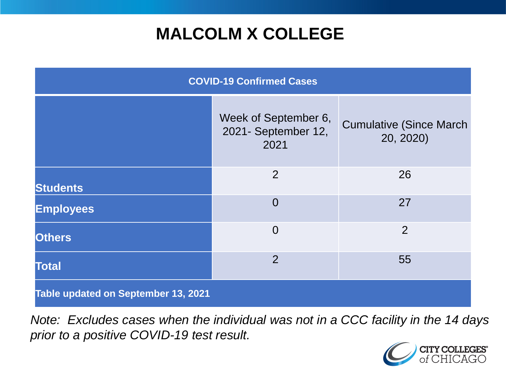# **MALCOLM X COLLEGE**

| <b>COVID-19 Confirmed Cases</b>     |                                                     |                                              |
|-------------------------------------|-----------------------------------------------------|----------------------------------------------|
|                                     | Week of September 6,<br>2021- September 12,<br>2021 | <b>Cumulative (Since March)</b><br>20, 2020) |
| <b>Students</b>                     | 2                                                   | 26                                           |
| <b>Employees</b>                    | $\Omega$                                            | 27                                           |
| <b>Others</b>                       | $\overline{0}$                                      | $\overline{2}$                               |
| <b>Total</b>                        | $\overline{2}$                                      | 55                                           |
| Table updated on September 13, 2021 |                                                     |                                              |

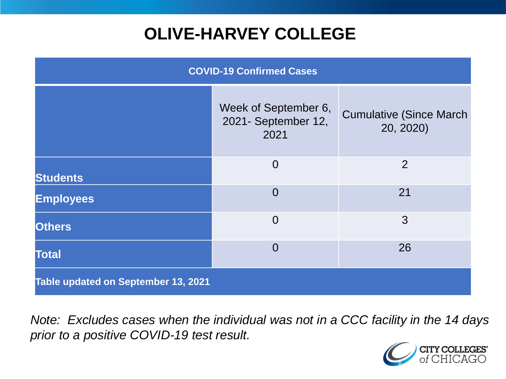# **OLIVE-HARVEY COLLEGE**

| <b>COVID-19 Confirmed Cases</b>     |                                                     |                                              |
|-------------------------------------|-----------------------------------------------------|----------------------------------------------|
|                                     | Week of September 6,<br>2021- September 12,<br>2021 | <b>Cumulative (Since March)</b><br>20, 2020) |
| <b>Students</b>                     | $\overline{0}$                                      | 2                                            |
| <b>Employees</b>                    | $\Omega$                                            | 21                                           |
| <b>Others</b>                       | $\overline{0}$                                      | 3                                            |
| <b>Total</b>                        | $\Omega$                                            | 26                                           |
| Table updated on September 13, 2021 |                                                     |                                              |

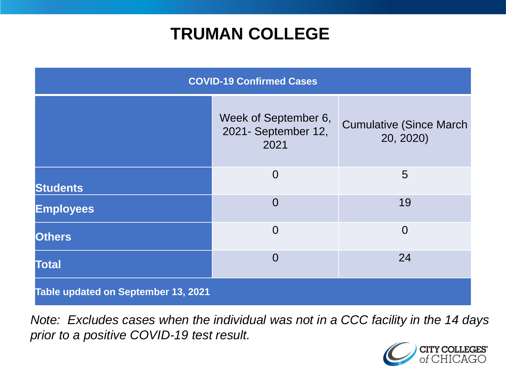## **TRUMAN COLLEGE**

| <b>COVID-19 Confirmed Cases</b>     |                                                     |                                              |
|-------------------------------------|-----------------------------------------------------|----------------------------------------------|
|                                     | Week of September 6,<br>2021- September 12,<br>2021 | <b>Cumulative (Since March)</b><br>20, 2020) |
| <b>Students</b>                     | $\overline{0}$                                      | 5                                            |
| <b>Employees</b>                    | $\overline{0}$                                      | 19                                           |
| <b>Others</b>                       | $\overline{0}$                                      | $\overline{0}$                               |
| <b>Total</b>                        | $\overline{0}$                                      | 24                                           |
| Table updated on September 13, 2021 |                                                     |                                              |

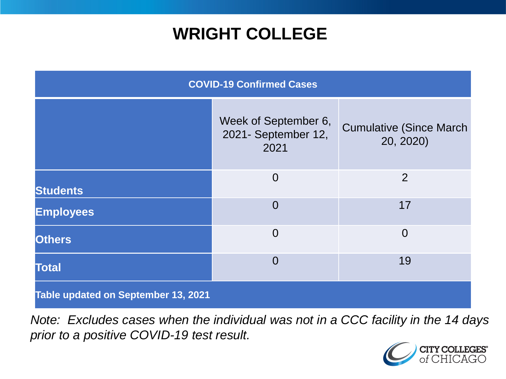## **WRIGHT COLLEGE**

| <b>COVID-19 Confirmed Cases</b>     |                                                     |                                              |
|-------------------------------------|-----------------------------------------------------|----------------------------------------------|
|                                     | Week of September 6,<br>2021- September 12,<br>2021 | <b>Cumulative (Since March)</b><br>20, 2020) |
| <b>Students</b>                     | $\overline{0}$                                      | $\overline{2}$                               |
| <b>Employees</b>                    | $\overline{0}$                                      | 17                                           |
| <b>Others</b>                       | $\overline{0}$                                      | $\overline{0}$                               |
| <b>Total</b>                        | $\overline{0}$                                      | 19                                           |
| Table updated on September 13, 2021 |                                                     |                                              |